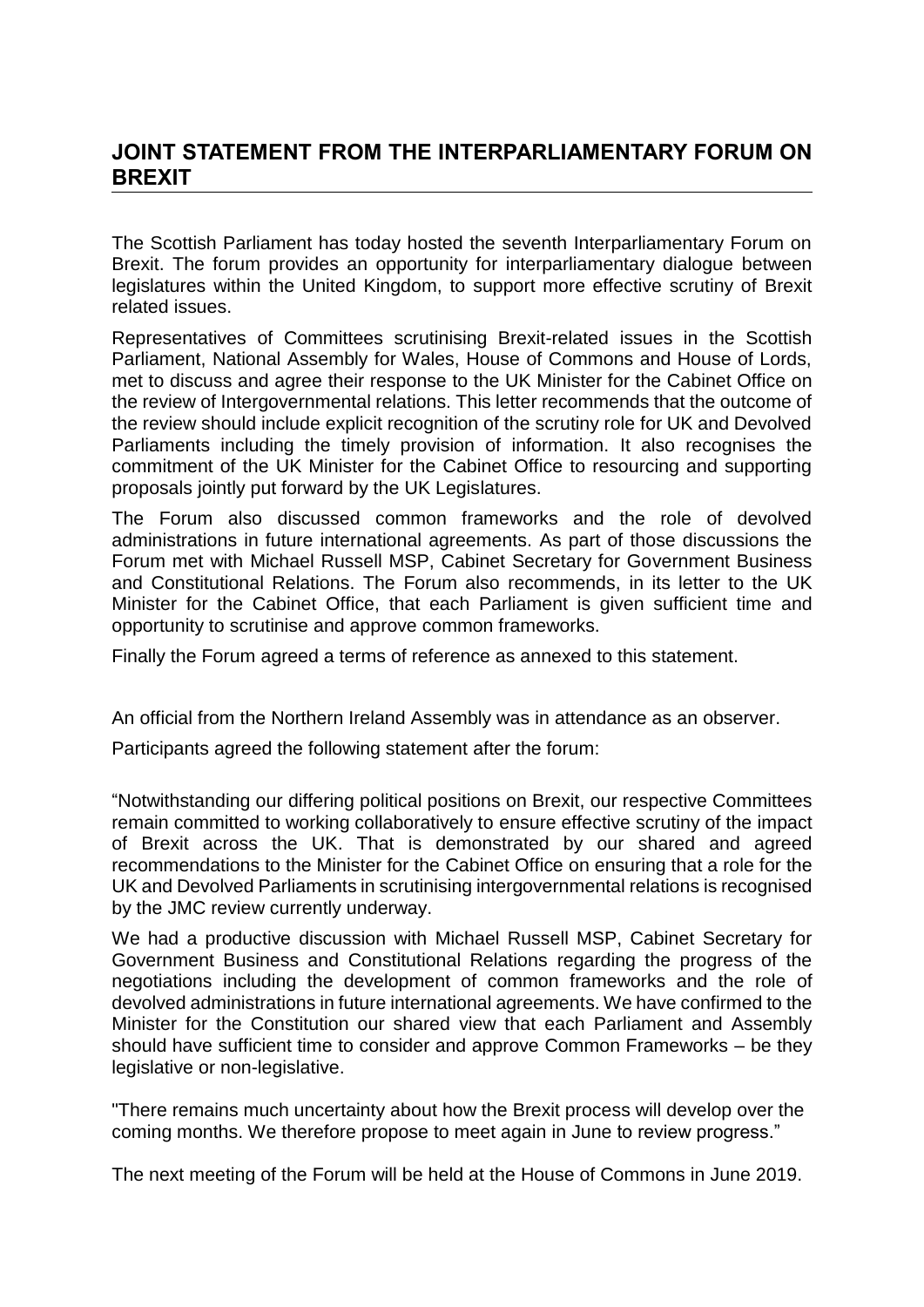## **JOINT STATEMENT FROM THE INTERPARLIAMENTARY FORUM ON BREXIT**

The Scottish Parliament has today hosted the seventh Interparliamentary Forum on Brexit. The forum provides an opportunity for interparliamentary dialogue between legislatures within the United Kingdom, to support more effective scrutiny of Brexit related issues.

Representatives of Committees scrutinising Brexit-related issues in the Scottish Parliament, National Assembly for Wales, House of Commons and House of Lords, met to discuss and agree their response to the UK Minister for the Cabinet Office on the review of Intergovernmental relations. This letter recommends that the outcome of the review should include explicit recognition of the scrutiny role for UK and Devolved Parliaments including the timely provision of information. It also recognises the commitment of the UK Minister for the Cabinet Office to resourcing and supporting proposals jointly put forward by the UK Legislatures.

The Forum also discussed common frameworks and the role of devolved administrations in future international agreements. As part of those discussions the Forum met with Michael Russell MSP, Cabinet Secretary for Government Business and Constitutional Relations. The Forum also recommends, in its letter to the UK Minister for the Cabinet Office, that each Parliament is given sufficient time and opportunity to scrutinise and approve common frameworks.

Finally the Forum agreed a terms of reference as annexed to this statement.

An official from the Northern Ireland Assembly was in attendance as an observer.

Participants agreed the following statement after the forum:

"Notwithstanding our differing political positions on Brexit, our respective Committees remain committed to working collaboratively to ensure effective scrutiny of the impact of Brexit across the UK. That is demonstrated by our shared and agreed recommendations to the Minister for the Cabinet Office on ensuring that a role for the UK and Devolved Parliaments in scrutinising intergovernmental relations is recognised by the JMC review currently underway.

We had a productive discussion with Michael Russell MSP, Cabinet Secretary for Government Business and Constitutional Relations regarding the progress of the negotiations including the development of common frameworks and the role of devolved administrations in future international agreements. We have confirmed to the Minister for the Constitution our shared view that each Parliament and Assembly should have sufficient time to consider and approve Common Frameworks – be they legislative or non-legislative.

"There remains much uncertainty about how the Brexit process will develop over the coming months. We therefore propose to meet again in June to review progress."

The next meeting of the Forum will be held at the House of Commons in June 2019.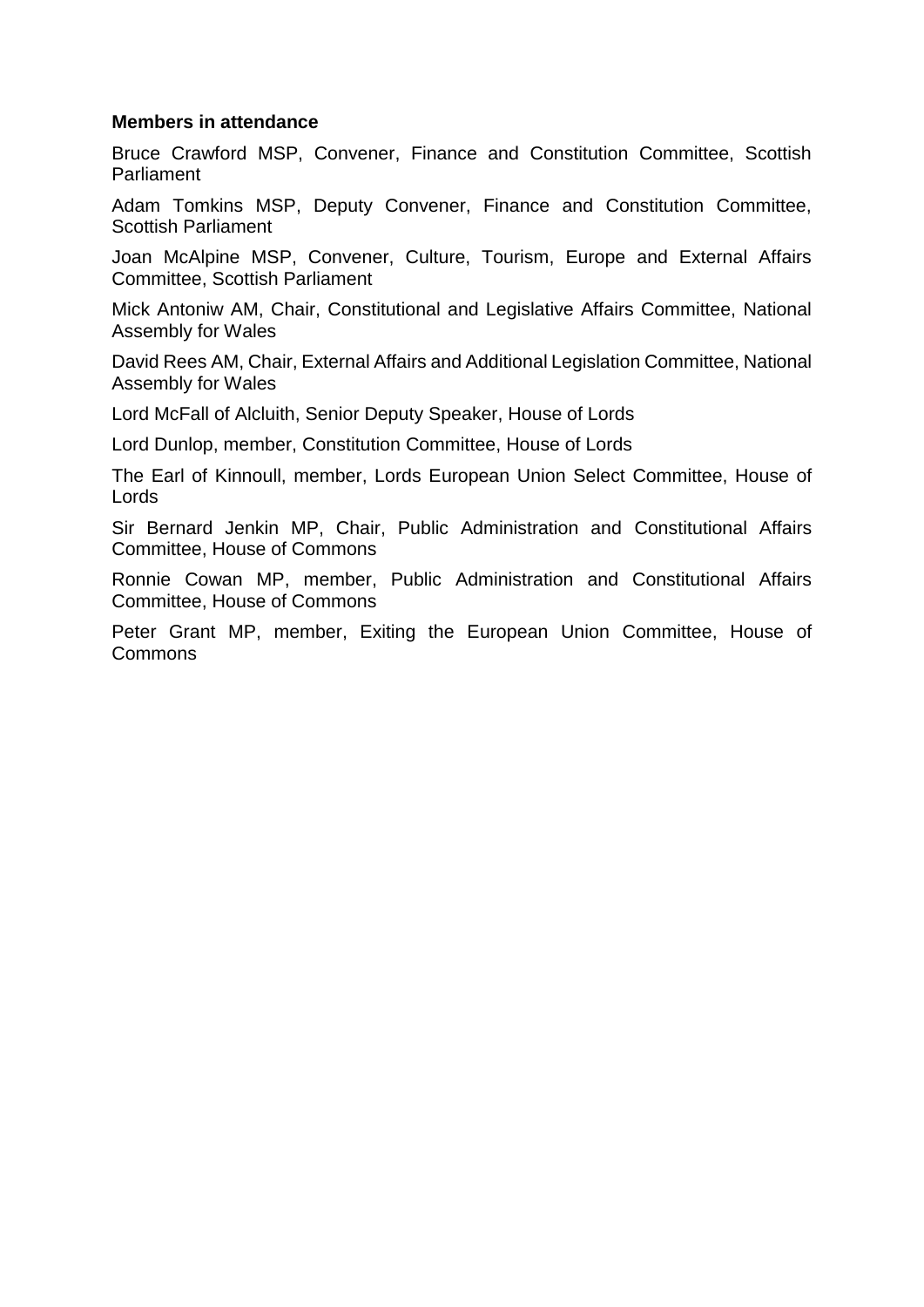## **Members in attendance**

Bruce Crawford MSP, Convener, Finance and Constitution Committee, Scottish Parliament

Adam Tomkins MSP, Deputy Convener, Finance and Constitution Committee, Scottish Parliament

Joan McAlpine MSP, Convener, Culture, Tourism, Europe and External Affairs Committee, Scottish Parliament

Mick Antoniw AM, Chair, Constitutional and Legislative Affairs Committee, National Assembly for Wales

David Rees AM, Chair, External Affairs and Additional Legislation Committee, National Assembly for Wales

Lord McFall of Alcluith, Senior Deputy Speaker, House of Lords

Lord Dunlop, member, Constitution Committee, House of Lords

The Earl of Kinnoull, member, Lords European Union Select Committee, House of Lords

Sir Bernard Jenkin MP, Chair, Public Administration and Constitutional Affairs Committee, House of Commons

Ronnie Cowan MP, member, Public Administration and Constitutional Affairs Committee, House of Commons

Peter Grant MP, member, Exiting the European Union Committee, House of Commons